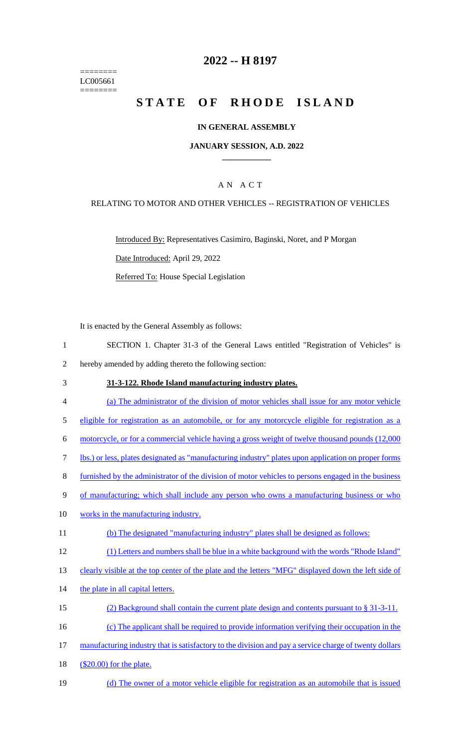======== LC005661 ========

## **2022 -- H 8197**

# **STATE OF RHODE ISLAND**

## **IN GENERAL ASSEMBLY**

### **JANUARY SESSION, A.D. 2022 \_\_\_\_\_\_\_\_\_\_\_\_**

## A N A C T

### RELATING TO MOTOR AND OTHER VEHICLES -- REGISTRATION OF VEHICLES

Introduced By: Representatives Casimiro, Baginski, Noret, and P Morgan Date Introduced: April 29, 2022 Referred To: House Special Legislation

It is enacted by the General Assembly as follows:

- 1 SECTION 1. Chapter 31-3 of the General Laws entitled "Registration of Vehicles" is
- 2 hereby amended by adding thereto the following section:

#### 3 **31-3-122. Rhode Island manufacturing industry plates.**

- 4 (a) The administrator of the division of motor vehicles shall issue for any motor vehicle 5 eligible for registration as an automobile, or for any motorcycle eligible for registration as a 6 motorcycle, or for a commercial vehicle having a gross weight of twelve thousand pounds (12,000 7 lbs.) or less, plates designated as "manufacturing industry" plates upon application on proper forms 8 furnished by the administrator of the division of motor vehicles to persons engaged in the business 9 of manufacturing; which shall include any person who owns a manufacturing business or who 10 works in the manufacturing industry. 11 (b) The designated "manufacturing industry" plates shall be designed as follows: 12 (1) Letters and numbers shall be blue in a white background with the words "Rhode Island" 13 clearly visible at the top center of the plate and the letters "MFG" displayed down the left side of 14 the plate in all capital letters. 15 (2) Background shall contain the current plate design and contents pursuant to § 31-3-11. 16 (c) The applicant shall be required to provide information verifying their occupation in the 17 manufacturing industry that is satisfactory to the division and pay a service charge of twenty dollars 18 (\$20.00) for the plate.
- 19 (d) The owner of a motor vehicle eligible for registration as an automobile that is issued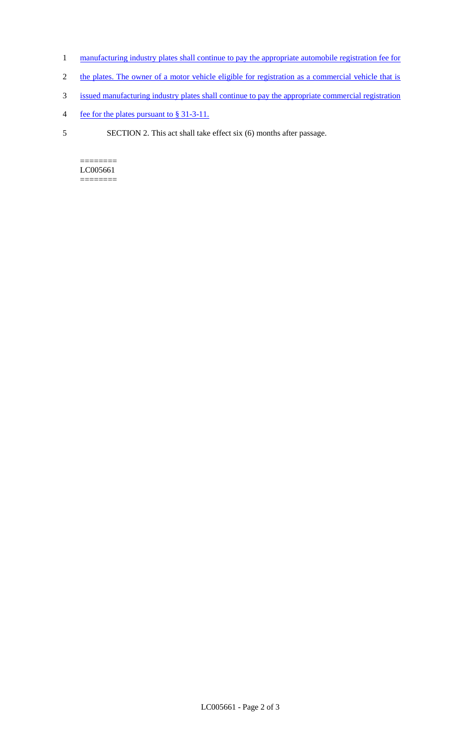- 1 manufacturing industry plates shall continue to pay the appropriate automobile registration fee for
- 2 the plates. The owner of a motor vehicle eligible for registration as a commercial vehicle that is
- 3 issued manufacturing industry plates shall continue to pay the appropriate commercial registration
- 4 fee for the plates pursuant to § 31-3-11.
- 5 SECTION 2. This act shall take effect six (6) months after passage.

======== LC005661 ========